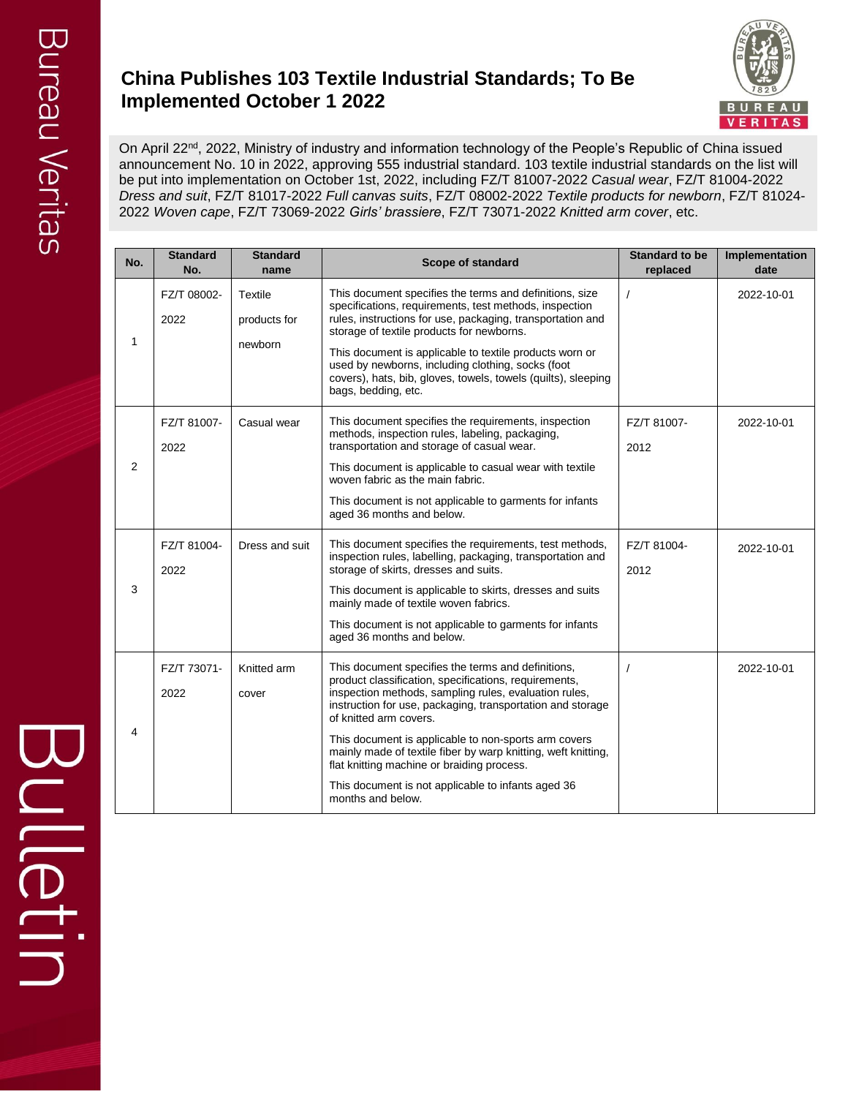## **China Publishes 103 Textile Industrial Standards; To Be Implemented October 1 2022**



On April 22<sup>nd</sup>, 2022, Ministry of industry and information technology of the People's Republic of China issued announcement No. 10 in 2022, approving 555 industrial standard. 103 textile industrial standards on the list will be put into implementation on October 1st, 2022, including FZ/T 81007-2022 *Casual wear*, FZ/T 81004-2022 *Dress and suit*, FZ/T 81017-2022 *Full canvas suits*, FZ/T 08002-2022 *Textile products for newborn*, FZ/T 81024- 2022 *Woven cape*, FZ/T 73069-2022 *Girls' brassiere*, FZ/T 73071-2022 *Knitted arm cover*, etc.

| No. | <b>Standard</b><br>No. | <b>Standard</b><br>name            | Scope of standard                                                                                                                                                                                                                                                                                                                                                                                                                                                                                              | <b>Standard to be</b><br>replaced | Implementation<br>date |
|-----|------------------------|------------------------------------|----------------------------------------------------------------------------------------------------------------------------------------------------------------------------------------------------------------------------------------------------------------------------------------------------------------------------------------------------------------------------------------------------------------------------------------------------------------------------------------------------------------|-----------------------------------|------------------------|
| 1   | FZ/T 08002-<br>2022    | Textile<br>products for<br>newborn | This document specifies the terms and definitions, size<br>specifications, requirements, test methods, inspection<br>rules, instructions for use, packaging, transportation and<br>storage of textile products for newborns.<br>This document is applicable to textile products worn or<br>used by newborns, including clothing, socks (foot<br>covers), hats, bib, gloves, towels, towels (quilts), sleeping<br>bags, bedding, etc.                                                                           | $\prime$                          | 2022-10-01             |
| 2   | FZ/T 81007-<br>2022    | Casual wear                        | This document specifies the requirements, inspection<br>methods, inspection rules, labeling, packaging,<br>transportation and storage of casual wear.<br>This document is applicable to casual wear with textile<br>woven fabric as the main fabric.<br>This document is not applicable to garments for infants<br>aged 36 months and below.                                                                                                                                                                   | FZ/T 81007-<br>2012               | 2022-10-01             |
| 3   | FZ/T 81004-<br>2022    | Dress and suit                     | This document specifies the requirements, test methods,<br>inspection rules, labelling, packaging, transportation and<br>storage of skirts, dresses and suits.<br>This document is applicable to skirts, dresses and suits<br>mainly made of textile woven fabrics.<br>This document is not applicable to garments for infants<br>aged 36 months and below.                                                                                                                                                    | FZ/T 81004-<br>2012               | 2022-10-01             |
| 4   | FZ/T 73071-<br>2022    | Knitted arm<br>cover               | This document specifies the terms and definitions,<br>product classification, specifications, requirements,<br>inspection methods, sampling rules, evaluation rules,<br>instruction for use, packaging, transportation and storage<br>of knitted arm covers.<br>This document is applicable to non-sports arm covers<br>mainly made of textile fiber by warp knitting, weft knitting,<br>flat knitting machine or braiding process.<br>This document is not applicable to infants aged 36<br>months and below. |                                   | 2022-10-01             |